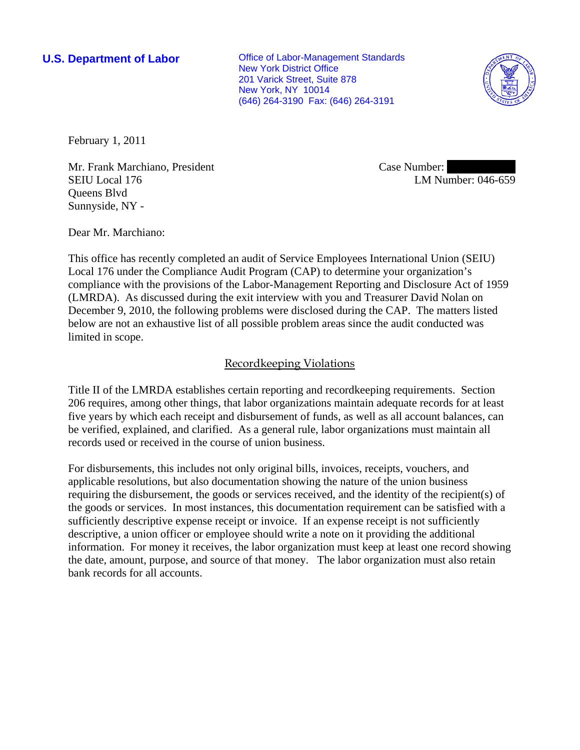**U.S. Department of Labor Conservative Conservative Conservative Conservative Conservative Conservative Conservative Conservative Conservative Conservative Conservative Conservative Conservative Conservative Conservative** New York District Office 201 Varick Street, Suite 878 New York, NY 10014 (646) 264-3190 Fax: (646) 264-3191



February 1, 2011

Mr. Frank Marchiano, President SEIU Local 176 Queens Blvd Sunnyside, NY -

Case Number: LM Number: 046-659

Dear Mr. Marchiano:

This office has recently completed an audit of Service Employees International Union (SEIU) Local 176 under the Compliance Audit Program (CAP) to determine your organization's compliance with the provisions of the Labor-Management Reporting and Disclosure Act of 1959 (LMRDA). As discussed during the exit interview with you and Treasurer David Nolan on December 9, 2010, the following problems were disclosed during the CAP. The matters listed below are not an exhaustive list of all possible problem areas since the audit conducted was limited in scope.

# Recordkeeping Violations

Title II of the LMRDA establishes certain reporting and recordkeeping requirements. Section 206 requires, among other things, that labor organizations maintain adequate records for at least five years by which each receipt and disbursement of funds, as well as all account balances, can be verified, explained, and clarified. As a general rule, labor organizations must maintain all records used or received in the course of union business.

For disbursements, this includes not only original bills, invoices, receipts, vouchers, and applicable resolutions, but also documentation showing the nature of the union business requiring the disbursement, the goods or services received, and the identity of the recipient(s) of the goods or services. In most instances, this documentation requirement can be satisfied with a sufficiently descriptive expense receipt or invoice. If an expense receipt is not sufficiently descriptive, a union officer or employee should write a note on it providing the additional information. For money it receives, the labor organization must keep at least one record showing the date, amount, purpose, and source of that money. The labor organization must also retain bank records for all accounts.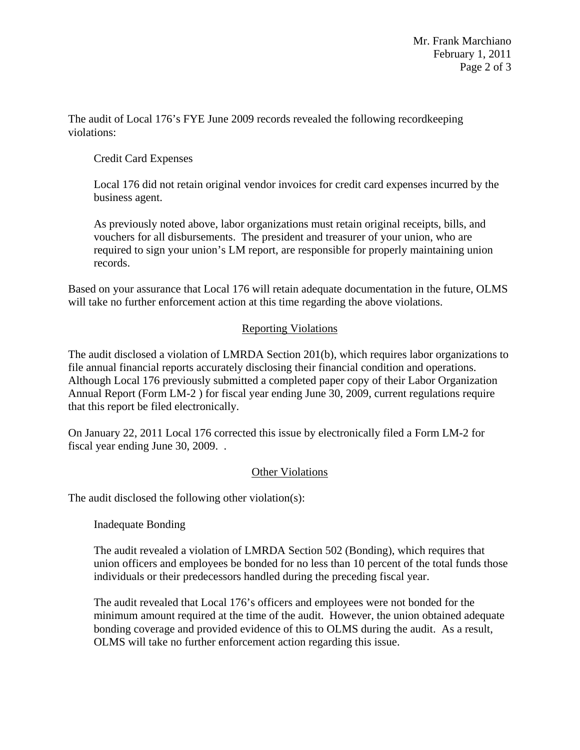The audit of Local 176's FYE June 2009 records revealed the following recordkeeping violations:

# Credit Card Expenses

Local 176 did not retain original vendor invoices for credit card expenses incurred by the business agent.

As previously noted above, labor organizations must retain original receipts, bills, and vouchers for all disbursements. The president and treasurer of your union, who are required to sign your union's LM report, are responsible for properly maintaining union records.

Based on your assurance that Local 176 will retain adequate documentation in the future, OLMS will take no further enforcement action at this time regarding the above violations.

### Reporting Violations

The audit disclosed a violation of LMRDA Section 201(b), which requires labor organizations to file annual financial reports accurately disclosing their financial condition and operations. Although Local 176 previously submitted a completed paper copy of their Labor Organization Annual Report (Form LM-2 ) for fiscal year ending June 30, 2009, current regulations require that this report be filed electronically.

On January 22, 2011 Local 176 corrected this issue by electronically filed a Form LM-2 for fiscal year ending June 30, 2009. .

### **Other Violations**

The audit disclosed the following other violation(s):

Inadequate Bonding

The audit revealed a violation of LMRDA Section 502 (Bonding), which requires that union officers and employees be bonded for no less than 10 percent of the total funds those individuals or their predecessors handled during the preceding fiscal year.

The audit revealed that Local 176's officers and employees were not bonded for the minimum amount required at the time of the audit. However, the union obtained adequate bonding coverage and provided evidence of this to OLMS during the audit. As a result, OLMS will take no further enforcement action regarding this issue.